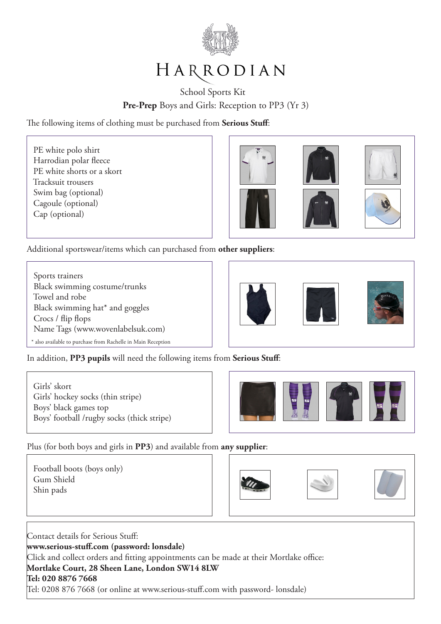

# HARRODIAN

## School Sports Kit Pre-Prep Boys and Girls: Reception to PP3 (Yr 3)

The following items of clothing must be purchased from **Serious Stuff**:

 PE white polo shirt Harrodian polar fleece PE white shorts or a skort Tracksuit trousers Swim bag (optional) Cagoule (optional) Cap (optional)

I

ſ

 $\overline{\phantom{a}}$ 

ſ

 $\overline{\phantom{a}}$ 



Additional sportswear/items which can purchased from **other suppliers**:

 Sports trainers Black swimming costume/trunks Towel and robe Black swimming hat\* and goggles Crocs / flip flops Name Tags (www.wovenlabelsuk.com) \* also available to purchase from Rachelle in Main Reception



In addition, **PP3 pupils** will need the following items from **Serious Stuff**:

 Girls' skort Girls' hockey socks (thin stripe) Boys' black games top Boys' football /rugby socks (thick stripe)



Plus (for both boys and girls in **PP3**) and available from **any supplier**:

 Football boots (boys only) Gum Shield Shin pads



ſ





Contact details for Serious Stuff: **www.serious-stuff.com (password: lonsdale)** Click and collect orders and fitting appointments can be made at their Mortlake office: **Mortlake Court, 28 Sheen Lane, London SW14 8LW Tel: 020 8876 7668** Tel: 0208 876 7668 (or online at www.serious-stuff.com with password- lonsdale)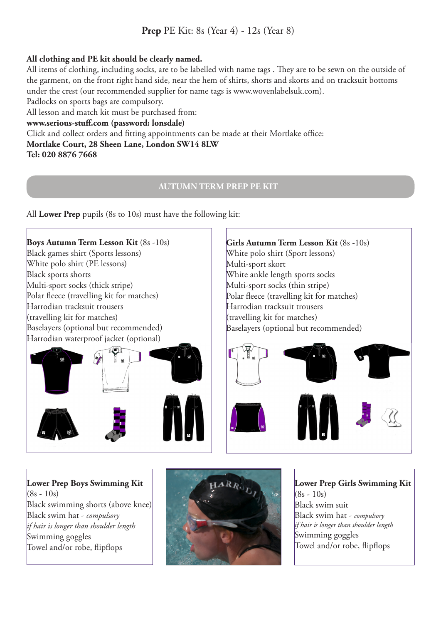## **All clothing and PE kit should be clearly named.**

All items of clothing, including socks, are to be labelled with name tags . They are to be sewn on the outside of the garment, on the front right hand side, near the hem of shirts, shorts and skorts and on tracksuit bottoms under the crest (our recommended supplier for name tags is www.wovenlabelsuk.com).

Padlocks on sports bags are compulsory.

All lesson and match kit must be purchased from:

#### **www.serious-stuff.com (password: lonsdale)**

Click and collect orders and fitting appointments can be made at their Mortlake office: **Mortlake Court, 28 Sheen Lane, London SW14 8LW Tel: 020 8876 7668** 

### **AUTUMN TERM PREP PE KIT**

All **Lower Prep** pupils (8s to 10s) must have the following kit:

## **Boys Autumn Term Lesson Kit** (8s -10s) **Girls Autumn Term Lesson Kit** (8s -10s) Black games shirt (Sports lessons) White polo shirt (Sport lessons) White polo shirt (PE lessons) Multi-sport skort Black sports shorts White ankle length sports socks Multi-sport socks (thick stripe) Multi-sport socks (thin stripe) Polar fleece (travelling kit for matches) Polar fleece (travelling kit for matches) Harrodian tracksuit trousers Harrodian tracksuit trousers (travelling kit for matches) (travelling kit for matches) Baselayers (optional but recommended) Baselayers (optional but recommended) Harrodian waterproof jacket (optional)  $\overline{\phantom{a}}$ ARR. **Lower Prep Boys Swimming Kit**

 $(8s - 10s)$ Black swimming shorts (above knee) Black swim hat - *compulsory if hair is longer than shoulder length* Swimming goggles Towel and/or robe, flipflops



**Lower Prep Girls Swimming Kit**   $(8s - 10s)$ Black swim suit Black swim hat - *compulsory if hair is longer than shoulder length* Swimming goggles Towel and/or robe, flipflops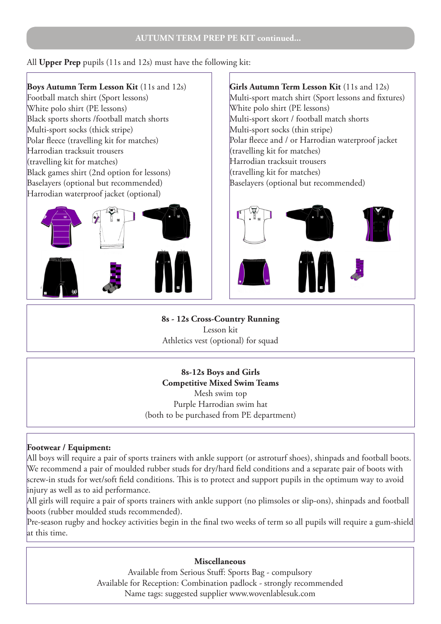All **Upper Prep** pupils (11s and 12s) must have the following kit:

## **Boys Autumn Term Lesson Kit** (11s and 12s)

Football match shirt (Sport lessons) White polo shirt (PE lessons) Black sports shorts /football match shorts Multi-sport socks (thick stripe) Polar fleece (travelling kit for matches) Harrodian tracksuit trousers (travelling kit for matches) Black games shirt (2nd option for lessons) Baselayers (optional but recommended) Harrodian waterproof jacket (optional)



**Girls Autumn Term Lesson Kit** (11s and 12s) Multi-sport match shirt (Sport lessons and fixtures) White polo shirt (PE lessons) Multi-sport skort / football match shorts Multi-sport socks (thin stripe) Polar fleece and / or Harrodian waterproof jacket (travelling kit for matches) Harrodian tracksuit trousers (travelling kit for matches) Baselayers (optional but recommended)



**8s - 12s Cross-Country Running** Lesson kit Athletics vest (optional) for squad

**8s-12s Boys and Girls Competitive Mixed Swim Teams** Mesh swim top Purple Harrodian swim hat (both to be purchased from PE department)

## **Footwear / Equipment:**

All boys will require a pair of sports trainers with ankle support (or astroturf shoes), shinpads and football boots. We recommend a pair of moulded rubber studs for dry/hard field conditions and a separate pair of boots with screw-in studs for wet/soft field conditions. This is to protect and support pupils in the optimum way to avoid injury as well as to aid performance.

All girls will require a pair of sports trainers with ankle support (no plimsoles or slip-ons), shinpads and football boots (rubber moulded studs recommended).

Pre-season rugby and hockey activities begin in the final two weeks of term so all pupils will require a gum-shield at this time.

#### **Miscellaneous**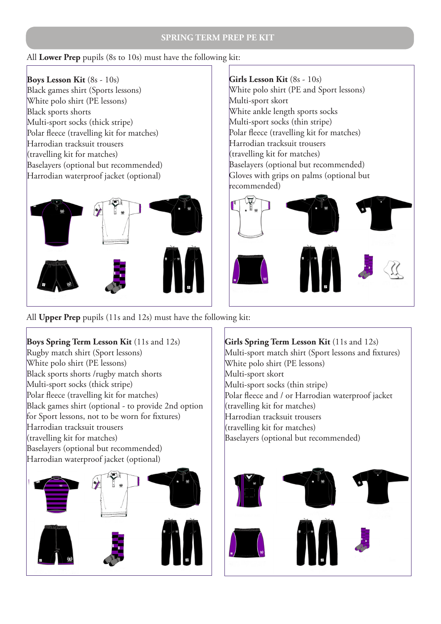#### **SPRING TERM PREP PE KIT**

#### All **Lower Prep** pupils (8s to 10s) must have the following kit:

**Boys Lesson Kit** (8s - 10s) Black games shirt (Sports lessons) White polo shirt (PE lessons) Black sports shorts Multi-sport socks (thick stripe) Polar fleece (travelling kit for matches) Harrodian tracksuit trousers (travelling kit for matches) Baselayers (optional but recommended) Harrodian waterproof jacket (optional)



**Girls Lesson Kit** (8s - 10s)

White polo shirt (PE and Sport lessons) Multi-sport skort White ankle length sports socks Multi-sport socks (thin stripe) Polar fleece (travelling kit for matches) Harrodian tracksuit trousers (travelling kit for matches) Baselayers (optional but recommended) Gloves with grips on palms (optional but recommended)



All **Upper Prep** pupils (11s and 12s) must have the following kit:

**Boys Spring Term Lesson Kit** (11s and 12s) Rugby match shirt (Sport lessons) White polo shirt (PE lessons) Black sports shorts /rugby match shorts Multi-sport socks (thick stripe) Polar fleece (travelling kit for matches) Black games shirt (optional - to provide 2nd option for Sport lessons, not to be worn for fixtures) Harrodian tracksuit trousers (travelling kit for matches) Baselayers (optional but recommended) Harrodian waterproof jacket (optional)



**Girls Spring Term Lesson Kit** (11s and 12s) Multi-sport match shirt (Sport lessons and fixtures) White polo shirt (PE lessons) Multi-sport skort Multi-sport socks (thin stripe) Polar fleece and / or Harrodian waterproof jacket (travelling kit for matches) Harrodian tracksuit trousers (travelling kit for matches) Baselayers (optional but recommended)

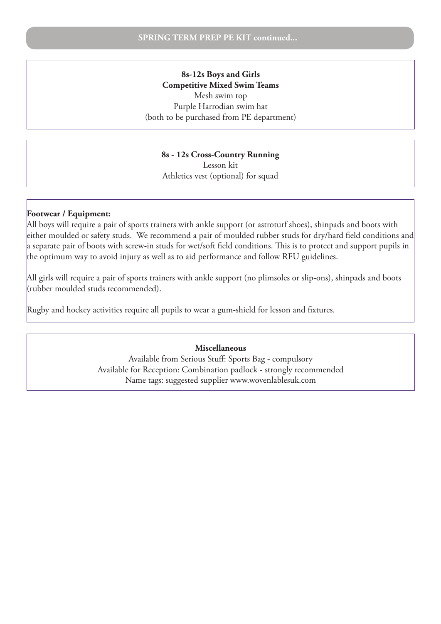#### **8s-12s Boys and Girls Competitive Mixed Swim Teams** Mesh swim top Purple Harrodian swim hat

(both to be purchased from PE department)

#### **8s - 12s Cross-Country Running**

Lesson kit Athletics vest (optional) for squad

#### **Footwear / Equipment:**

All boys will require a pair of sports trainers with ankle support (or astroturf shoes), shinpads and boots with either moulded or safety studs. We recommend a pair of moulded rubber studs for dry/hard field conditions and a separate pair of boots with screw-in studs for wet/soft field conditions. This is to protect and support pupils in the optimum way to avoid injury as well as to aid performance and follow RFU guidelines.

All girls will require a pair of sports trainers with ankle support (no plimsoles or slip-ons), shinpads and boots (rubber moulded studs recommended).

Rugby and hockey activities require all pupils to wear a gum-shield for lesson and fixtures.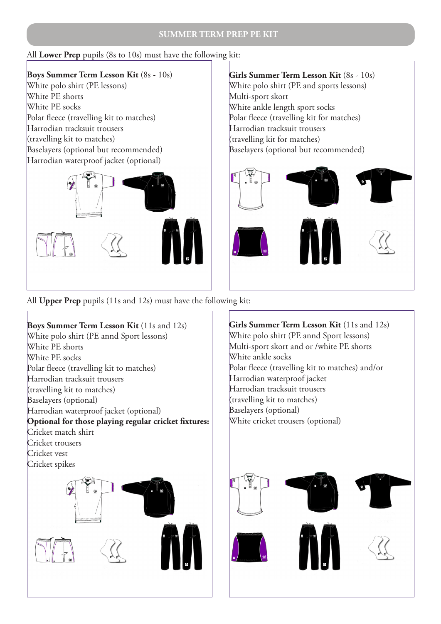#### **SUMMER TERM PREP PE KIT**

## All **Lower Prep** pupils (8s to 10s) must have the following kit:

**Boys Summer Term Lesson Kit** (8s - 10s) White polo shirt (PE lessons) White PE shorts White PE socks Polar fleece (travelling kit to matches) Harrodian tracksuit trousers (travelling kit to matches) Baselayers (optional but recommended) Harrodian waterproof jacket (optional)



## **Girls Summer Term Lesson Kit** (8s - 10s) White polo shirt (PE and sports lessons) Multi-sport skort White ankle length sport socks Polar fleece (travelling kit for matches) Harrodian tracksuit trousers (travelling kit for matches) Baselayers (optional but recommended)



All **Upper Prep** pupils (11s and 12s) must have the following kit:

**Boys Summer Term Lesson Kit** (11s and 12s) White polo shirt (PE annd Sport lessons) White PE shorts White PE socks Polar fleece (travelling kit to matches) Harrodian tracksuit trousers (travelling kit to matches) Baselayers (optional) Harrodian waterproof jacket (optional) **Optional for those playing regular cricket fixtures:** Cricket match shirt Cricket trousers Cricket vest Cricket spikes

**Girls Summer Term Lesson Kit** (11s and 12s) White polo shirt (PE annd Sport lessons) Multi-sport skort and or /white PE shorts White ankle socks Polar fleece (travelling kit to matches) and/or Harrodian waterproof jacket Harrodian tracksuit trousers (travelling kit to matches) Baselayers (optional) White cricket trousers (optional)

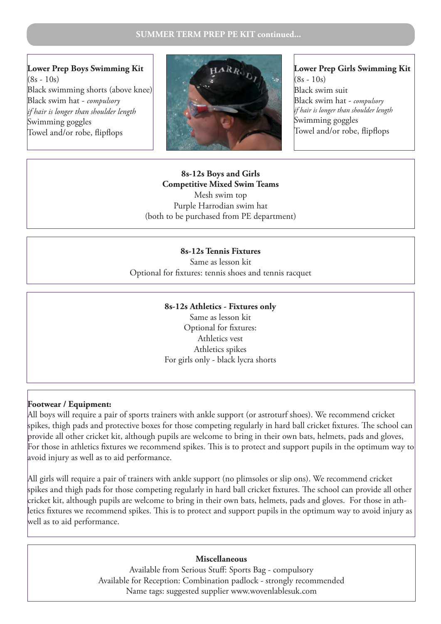**Lower Prep Boys Swimming Kit**   $(8s - 10s)$ Black swimming shorts (above knee) Black swim hat - *compulsory if hair is longer than shoulder length* Swimming goggles Towel and/or robe, flipflops



**Lower Prep Girls Swimming Kit**   $(8s - 10s)$ Black swim suit Black swim hat - *compulsory if hair is longer than shoulder length* Swimming goggles Towel and/or robe, flipflops

#### **8s-12s Boys and Girls Competitive Mixed Swim Teams** Mesh swim top Purple Harrodian swim hat (both to be purchased from PE department)

#### **8s-12s Tennis Fixtures**

Same as lesson kit Optional for fixtures: tennis shoes and tennis racquet

#### **8s-12s Athletics - Fixtures only**

Same as lesson kit Optional for fixtures: Athletics vest Athletics spikes For girls only - black lycra shorts

#### **Footwear / Equipment:**

All boys will require a pair of sports trainers with ankle support (or astroturf shoes). We recommend cricket spikes, thigh pads and protective boxes for those competing regularly in hard ball cricket fixtures. The school can provide all other cricket kit, although pupils are welcome to bring in their own bats, helmets, pads and gloves, For those in athletics fixtures we recommend spikes. This is to protect and support pupils in the optimum way to avoid injury as well as to aid performance.

All girls will require a pair of trainers with ankle support (no plimsoles or slip ons). We recommend cricket spikes and thigh pads for those competing regularly in hard ball cricket fixtures. The school can provide all other cricket kit, although pupils are welcome to bring in their own bats, helmets, pads and gloves. For those in athletics fixtures we recommend spikes. This is to protect and support pupils in the optimum way to avoid injury as well as to aid performance.

#### **Miscellaneous**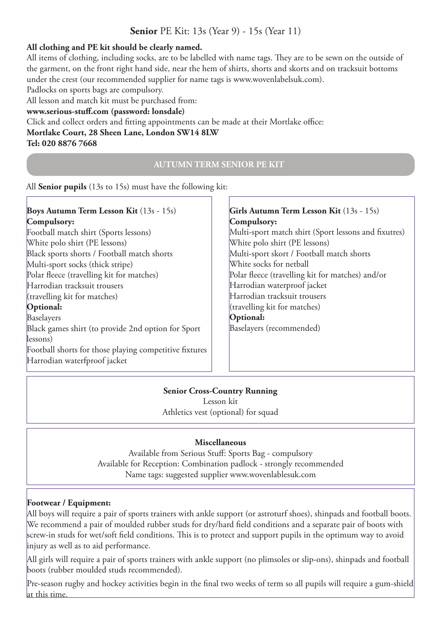## **All clothing and PE kit should be clearly named.**

All items of clothing, including socks, are to be labelled with name tags. They are to be sewn on the outside of the garment, on the front right hand side, near the hem of shirts, shorts and skorts and on tracksuit bottoms under the crest (our recommended supplier for name tags is www.wovenlabelsuk.com).

Padlocks on sports bags are compulsory.

All lesson and match kit must be purchased from:

## **www.serious-stuff.com (password: lonsdale)**

Click and collect orders and fitting appointments can be made at their Mortlake office: **Mortlake Court, 28 Sheen Lane, London SW14 8LW Tel: 020 8876 7668** 

#### **AUTUMN TERM SENIOR PE KIT**

All **Senior pupils** (13s to 15s) must have the following kit:

**Boys Autumn Term Lesson Kit** (13s - 15s) **Compulsory:** Football match shirt (Sports lessons) White polo shirt (PE lessons) Black sports shorts / Football match shorts Multi-sport socks (thick stripe) Polar fleece (travelling kit for matches) Harrodian tracksuit trousers (travelling kit for matches) **Optional:** Baselayers Black games shirt (to provide 2nd option for Sport lessons) Football shorts for those playing competitive fixtures Harrodian waterfproof jacket **Girls Autumn Term Lesson Kit** (13s - 15s) **Compulsory:** Multi-sport match shirt (Sport lessons and fixutres) White polo shirt (PE lessons) Multi-sport skort / Football match shorts White socks for netball Polar fleece (travelling kit for matches) and/or Harrodian waterproof jacket Harrodian tracksuit trousers (travelling kit for matches) **Optional:** Baselayers (recommended)

## **Senior Cross-Country Running**

Lesson kit Athletics vest (optional) for squad

## **Miscellaneous**

Available from Serious Stuff: Sports Bag - compulsory Available for Reception: Combination padlock - strongly recommended Name tags: suggested supplier www.wovenlablesuk.com

#### **Footwear / Equipment:**

All boys will require a pair of sports trainers with ankle support (or astroturf shoes), shinpads and football boots. We recommend a pair of moulded rubber studs for dry/hard field conditions and a separate pair of boots with screw-in studs for wet/soft field conditions. This is to protect and support pupils in the optimum way to avoid injury as well as to aid performance.

All girls will require a pair of sports trainers with ankle support (no plimsoles or slip-ons), shinpads and football boots (rubber moulded studs recommended).

Pre-season rugby and hockey activities begin in the final two weeks of term so all pupils will require a gum-shield at this time.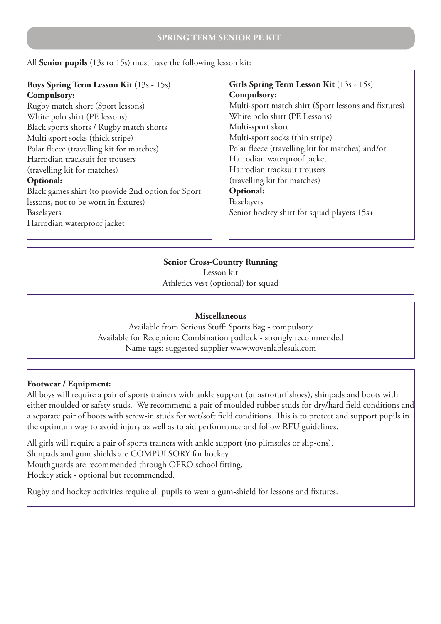All **Senior pupils** (13s to 15s) must have the following lesson kit:

## **Boys Spring Term Lesson Kit** (13s - 15s) **Compulsory:**

Rugby match short (Sport lessons) White polo shirt (PE lessons) Black sports shorts / Rugby match shorts Multi-sport socks (thick stripe) Polar fleece (travelling kit for matches) Harrodian tracksuit for trousers (travelling kit for matches) **Optional:** Black games shirt (to provide 2nd option for Sport lessons, not to be worn in fixtures) Baselayers Harrodian waterproof jacket

## **Girls Spring Term Lesson Kit** (13s - 15s) **Compulsory:** Multi-sport match shirt (Sport lessons and fixtures) White polo shirt (PE Lessons) Multi-sport skort Multi-sport socks (thin stripe) Polar fleece (travelling kit for matches) and/or Harrodian waterproof jacket Harrodian tracksuit trousers (travelling kit for matches) **Optional:** Baselayers Senior hockey shirt for squad players 15s+

## **Senior Cross-Country Running**

Lesson kit Athletics vest (optional) for squad

#### **Miscellaneous**

Available from Serious Stuff: Sports Bag - compulsory Available for Reception: Combination padlock - strongly recommended Name tags: suggested supplier www.wovenlablesuk.com

## **Footwear / Equipment:**

All boys will require a pair of sports trainers with ankle support (or astroturf shoes), shinpads and boots with either moulded or safety studs. We recommend a pair of moulded rubber studs for dry/hard field conditions and a separate pair of boots with screw-in studs for wet/soft field conditions. This is to protect and support pupils in the optimum way to avoid injury as well as to aid performance and follow RFU guidelines.

All girls will require a pair of sports trainers with ankle support (no plimsoles or slip-ons). Shinpads and gum shields are COMPULSORY for hockey. Mouthguards are recommended through OPRO school fitting. Hockey stick - optional but recommended.

Rugby and hockey activities require all pupils to wear a gum-shield for lessons and fixtures.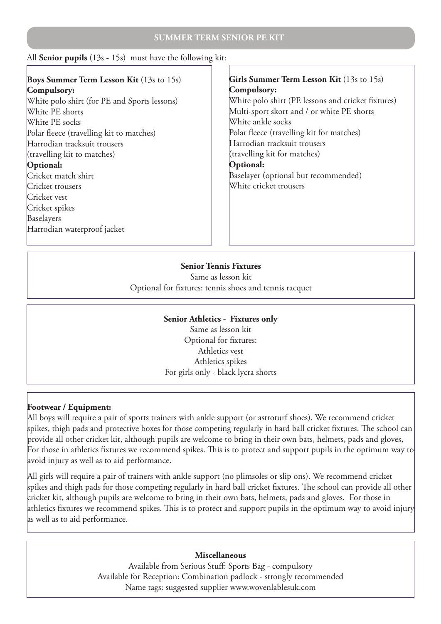#### **SUMMER TERM SENIOR PE KIT**

#### All **Senior pupils** (13s - 15s) must have the following kit:

#### **Boys Summer Term Lesson Kit** (13s to 15s) **Compulsory:** White polo shirt (for PE and Sports lessons) White PE shorts White PE socks Polar fleece (travelling kit to matches) Harrodian tracksuit trousers (travelling kit to matches) **Optional:** Cricket match shirt Cricket trousers Cricket vest Cricket spikes Baselayers Harrodian waterproof jacket Girls Summer Term Lesson Kit (13s to 15s) **Compulsory:** White polo shirt (PE lessons and cricket fixtures) Multi-sport skort and / or white PE shorts White ankle socks Polar fleece (travelling kit for matches) Harrodian tracksuit trousers (travelling kit for matches) **Optional:** Baselayer (optional but recommended) White cricket trousers

#### **Senior Tennis Fixtures**

Same as lesson kit Optional for fixtures: tennis shoes and tennis racquet

#### **Senior Athletics - Fixtures only**

Same as lesson kit Optional for fixtures: Athletics vest Athletics spikes For girls only - black lycra shorts

#### **Footwear / Equipment:**

All boys will require a pair of sports trainers with ankle support (or astroturf shoes). We recommend cricket spikes, thigh pads and protective boxes for those competing regularly in hard ball cricket fixtures. The school can provide all other cricket kit, although pupils are welcome to bring in their own bats, helmets, pads and gloves, For those in athletics fixtures we recommend spikes. This is to protect and support pupils in the optimum way to avoid injury as well as to aid performance.

All girls will require a pair of trainers with ankle support (no plimsoles or slip ons). We recommend cricket spikes and thigh pads for those competing regularly in hard ball cricket fixtures. The school can provide all other cricket kit, although pupils are welcome to bring in their own bats, helmets, pads and gloves. For those in athletics fixtures we recommend spikes. This is to protect and support pupils in the optimum way to avoid injury as well as to aid performance.

#### **Miscellaneous**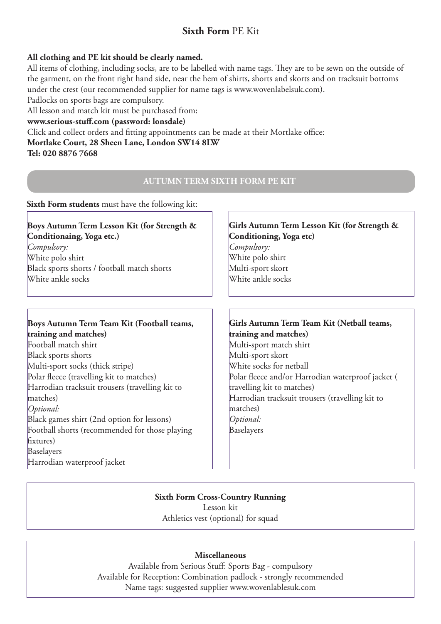## **Sixth Form** PE Kit

## **All clothing and PE kit should be clearly named.**

All items of clothing, including socks, are to be labelled with name tags. They are to be sewn on the outside of the garment, on the front right hand side, near the hem of shirts, shorts and skorts and on tracksuit bottoms under the crest (our recommended supplier for name tags is www.wovenlabelsuk.com).

Padlocks on sports bags are compulsory.

All lesson and match kit must be purchased from:

#### **www.serious-stuff.com (password: lonsdale)**

Click and collect orders and fitting appointments can be made at their Mortlake office: **Mortlake Court, 28 Sheen Lane, London SW14 8LW**

**Tel: 020 8876 7668** 

#### **AUTUMN TERM SIXTH FORM PE KIT**

#### **Sixth Form students** must have the following kit:

#### **Boys Autumn Term Lesson Kit (for Strength & Conditionaing, Yoga etc.)**

*Compulsory:* White polo shirt Black sports shorts / football match shorts White ankle socks

#### **Boys Autumn Term Team Kit (Football teams, training and matches)**

Football match shirt Black sports shorts Multi-sport socks (thick stripe) Polar fleece (travelling kit to matches) Harrodian tracksuit trousers (travelling kit to matches) *Optional:* Black games shirt (2nd option for lessons) Football shorts (recommended for those playing fixtures) Baselayers Harrodian waterproof jacket

## **Girls Autumn Term Lesson Kit (for Strength & Conditioning, Yoga etc)**

*Compulsory:* White polo shirt Multi-sport skort White ankle socks

#### **Girls Autumn Term Team Kit (Netball teams, training and matches)** Multi-sport match shirt Multi-sport skort White socks for netball Polar fleece and/or Harrodian waterproof jacket ( travelling kit to matches) Harrodian tracksuit trousers (travelling kit to matches) *Optional:* Baselayers

## **Sixth Form Cross-Country Running**

Lesson kit Athletics vest (optional) for squad

#### **Miscellaneous**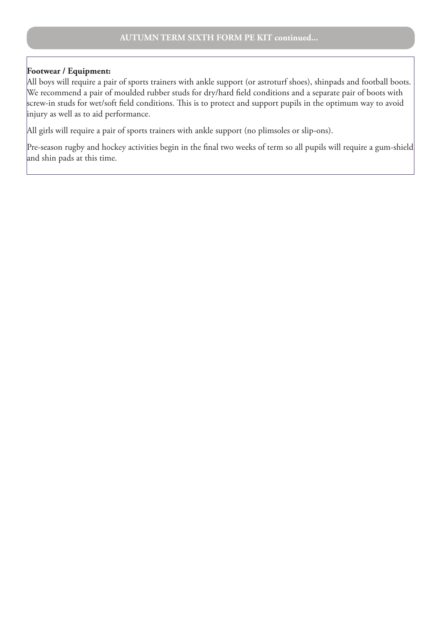#### **Footwear / Equipment:**

All boys will require a pair of sports trainers with ankle support (or astroturf shoes), shinpads and football boots. We recommend a pair of moulded rubber studs for dry/hard field conditions and a separate pair of boots with screw-in studs for wet/soft field conditions. This is to protect and support pupils in the optimum way to avoid injury as well as to aid performance.

All girls will require a pair of sports trainers with ankle support (no plimsoles or slip-ons).

Pre-season rugby and hockey activities begin in the final two weeks of term so all pupils will require a gum-shield and shin pads at this time.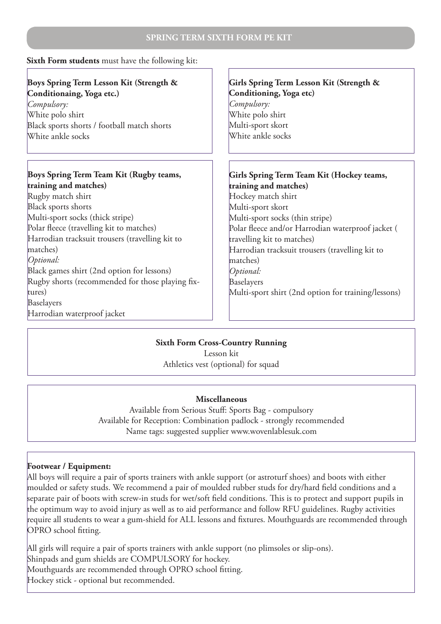|  |  | Sixth Form students must have the following kit: |  |  |  |  |  |
|--|--|--------------------------------------------------|--|--|--|--|--|
|--|--|--------------------------------------------------|--|--|--|--|--|

| Boys Spring Term Lesson Kit (Strength &<br>Conditionaing, Yoga etc.)<br>Compulsory:<br>White polo shirt<br>Black sports shorts / football match shorts<br>White ankle socks | Girls Spring Term Lesson Kit (Strength &<br>Conditioning, Yoga etc)<br>Compulsory:<br>White polo shirt<br>Multi-sport skort<br>White ankle socks |
|-----------------------------------------------------------------------------------------------------------------------------------------------------------------------------|--------------------------------------------------------------------------------------------------------------------------------------------------|
| Boys Spring Term Team Kit (Rugby teams,<br>training and matches)                                                                                                            | Girls Spring Term Team Kit (Hockey teams,<br>training and matches)                                                                               |
| Rugby match shirt                                                                                                                                                           | Hockey match shirt                                                                                                                               |
| Black sports shorts                                                                                                                                                         | Multi-sport skort                                                                                                                                |
| Multi-sport socks (thick stripe)                                                                                                                                            | Multi-sport socks (thin stripe)                                                                                                                  |
| Polar fleece (travelling kit to matches)                                                                                                                                    | Polar fleece and/or Harrodian waterproof jacket (                                                                                                |
| Harrodian tracksuit trousers (travelling kit to                                                                                                                             | travelling kit to matches)                                                                                                                       |
| matches)                                                                                                                                                                    | Harrodian tracksuit trousers (travelling kit to                                                                                                  |
| Optional:                                                                                                                                                                   | matches)                                                                                                                                         |
| Black games shirt (2nd option for lessons)                                                                                                                                  | Optional:                                                                                                                                        |
| Rugby shorts (recommended for those playing fix-                                                                                                                            | Baselayers                                                                                                                                       |
| tures)                                                                                                                                                                      | Multi-sport shirt (2nd option for training/lessons)                                                                                              |
| Baselayers                                                                                                                                                                  |                                                                                                                                                  |
| Harrodian waterproof jacket                                                                                                                                                 |                                                                                                                                                  |

## **Sixth Form Cross-Country Running**

Lesson kit Athletics vest (optional) for squad

#### **Miscellaneous**

Available from Serious Stuff: Sports Bag - compulsory Available for Reception: Combination padlock - strongly recommended Name tags: suggested supplier www.wovenlablesuk.com

#### **Footwear / Equipment:**

All boys will require a pair of sports trainers with ankle support (or astroturf shoes) and boots with either moulded or safety studs. We recommend a pair of moulded rubber studs for dry/hard field conditions and a separate pair of boots with screw-in studs for wet/soft field conditions. This is to protect and support pupils in the optimum way to avoid injury as well as to aid performance and follow RFU guidelines. Rugby activities require all students to wear a gum-shield for ALL lessons and fixtures. Mouthguards are recommended through OPRO school fitting.

All girls will require a pair of sports trainers with ankle support (no plimsoles or slip-ons). Shinpads and gum shields are COMPULSORY for hockey. Mouthguards are recommended through OPRO school fitting. Hockey stick - optional but recommended.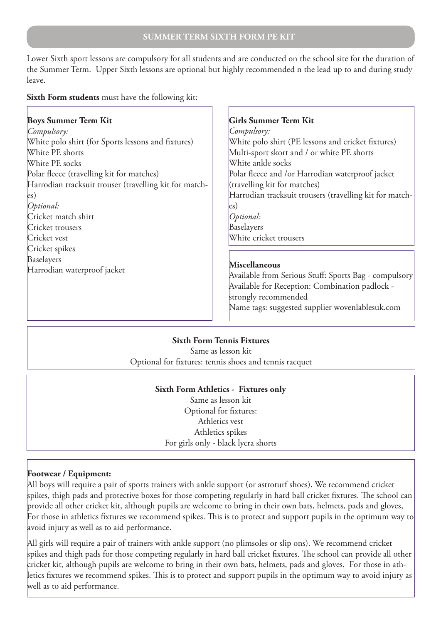Lower Sixth sport lessons are compulsory for all students and are conducted on the school site for the duration of the Summer Term. Upper Sixth lessons are optional but highly recommended n the lead up to and during study leave.

#### **Sixth Form students** must have the following kit:

| <b>Boys Summer Term Kit</b>                            |
|--------------------------------------------------------|
| Compulsory:                                            |
| White polo shirt (for Sports lessons and fixtures)     |
| White PE shorts                                        |
| White PE socks                                         |
| Polar fleece (travelling kit for matches)              |
| Harrodian tracksuit trouser (travelling kit for match- |
| $\left  \mathrm{es} \right\rangle$                     |
| Optional:                                              |
| Cricket match shirt                                    |
| Cricket trousers                                       |
| Cricket vest                                           |
| Cricket spikes                                         |
| Baselayers                                             |
| Harrodian waterproof jacket                            |
|                                                        |

#### **Girls Summer Term Kit**

*Compulsory:* White polo shirt (PE lessons and cricket fixtures) Multi-sport skort and / or white PE shorts White ankle socks Polar fleece and /or Harrodian waterproof jacket (travelling kit for matches) Harrodian tracksuit trousers (travelling kit for matches) *Optional:* Baselayers White cricket trousers

#### **Miscellaneous**

Available from Serious Stuff: Sports Bag - compulsory Available for Reception: Combination padlock strongly recommended Name tags: suggested supplier wovenlablesuk.com

#### **Sixth Form Tennis Fixtures**

Same as lesson kit Optional for fixtures: tennis shoes and tennis racquet

## **Sixth Form Athletics - Fixtures only**

Same as lesson kit Optional for fixtures: Athletics vest Athletics spikes For girls only - black lycra shorts

#### **Footwear / Equipment:**

All boys will require a pair of sports trainers with ankle support (or astroturf shoes). We recommend cricket spikes, thigh pads and protective boxes for those competing regularly in hard ball cricket fixtures. The school can provide all other cricket kit, although pupils are welcome to bring in their own bats, helmets, pads and gloves, For those in athletics fixtures we recommend spikes. This is to protect and support pupils in the optimum way to avoid injury as well as to aid performance.

All girls will require a pair of trainers with ankle support (no plimsoles or slip ons). We recommend cricket spikes and thigh pads for those competing regularly in hard ball cricket fixtures. The school can provide all other cricket kit, although pupils are welcome to bring in their own bats, helmets, pads and gloves. For those in athletics fixtures we recommend spikes. This is to protect and support pupils in the optimum way to avoid injury as well as to aid performance.